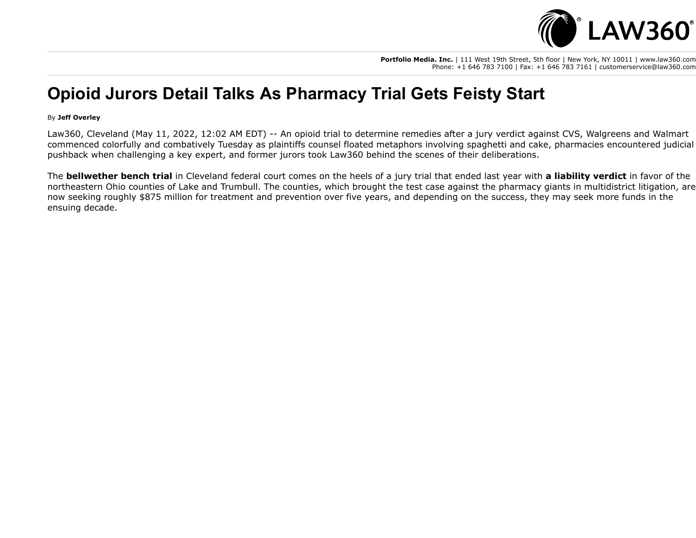

**Portfolio Media. Inc.** | 111 West 19th Street, 5th floor | New York, NY 10011 | www.law360.com Phone: +1 646 783 7100 | Fax: +1 646 783 7161 | customerservice@law360.com

## **Opioid Jurors Detail Talks As Pharmacy Trial Gets Feisty Start**

## By **Jeff Overley**

Law360, Cleveland (May 11, 2022, 12:02 AM EDT) -- An opioid trial to determine remedies after a jury verdict against CVS, [Walgreens](https://www.law360.com/companies/walgreens-co) and [Walmart](https://www.law360.com/companies/walmart-inc) commenced colorfully and combatively Tuesday as plaintiffs counsel floated metaphors involving spaghetti and cake, pharmacies encountered judicial pushback when challenging a key expert, and former jurors took Law360 behind the scenes of their deliberations.

The **[bellwether bench trial](https://www.law360.com/articles/1490698)** in Cleveland federal court comes on the heels of a jury trial that ended last year with **[a liability verdict](https://www.law360.com/articles/1440924)** in favor of the northeastern Ohio counties of Lake and Trumbull. The counties, which brought the test case against the pharmacy giants in multidistrict litigation, are now seeking roughly \$875 million for treatment and prevention over five years, and depending on the success, they may seek more funds in the ensuing decade.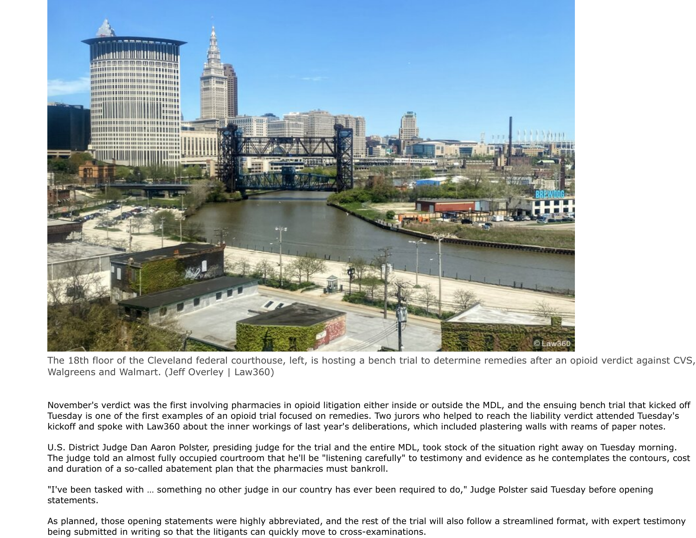

The 18th floor of the Cleveland federal courthouse, left, is hosting a bench trial to determine remedies after an opioid verdict against CVS, Walgreens and Walmart. (Jeff Overley | Law360)

November's verdict was the first involving pharmacies in opioid litigation either inside or outside the MDL, and the ensuing bench trial that kicked off Tuesday is one of the first examples of an opioid trial focused on remedies. Two jurors who helped to reach the liability verdict attended Tuesday's kickoff and spoke with Law360 about the inner workings of last year's deliberations, which included plastering walls with reams of paper notes.

U.S. District Judge Dan Aaron Polster, presiding judge for the trial and the entire MDL, took stock of the situation right away on Tuesday morning. The judge told an almost fully occupied courtroom that he'll be "listening carefully" to testimony and evidence as he contemplates the contours, cost and duration of a so-called abatement plan that the pharmacies must bankroll.

"I've been tasked with … something no other judge in our country has ever been required to do," Judge Polster said Tuesday before opening statements.

As planned, those opening statements were highly abbreviated, and the rest of the trial will also follow a streamlined format, with expert testimony being submitted in writing so that the litigants can quickly move to cross-examinations.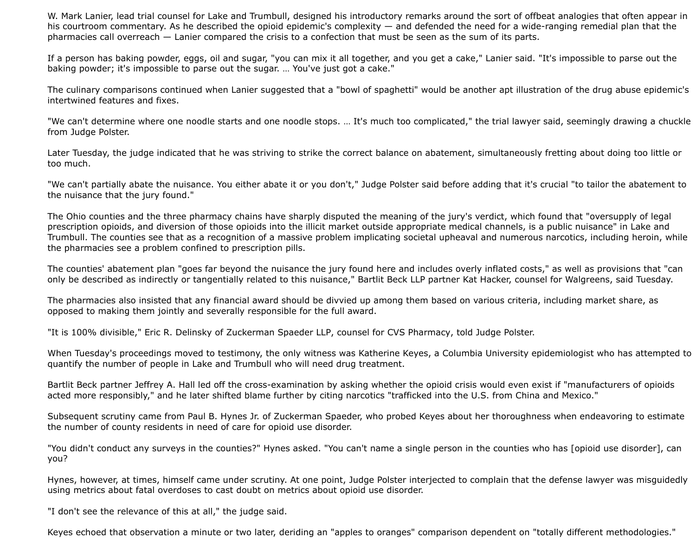W. Mark Lanier, lead trial counsel for Lake and Trumbull, designed his introductory remarks around the sort of offbeat analogies that often appear in his courtroom commentary. As he described the opioid epidemic's complexity — and defended the need for a wide-ranging remedial plan that the pharmacies call overreach — Lanier compared the crisis to a confection that must be seen as the sum of its parts.

If a person has baking powder, eggs, oil and sugar, "you can mix it all together, and you get a cake," Lanier said. "It's impossible to parse out the baking powder; it's impossible to parse out the sugar. … You've just got a cake."

The culinary comparisons continued when Lanier suggested that a "bowl of spaghetti" would be another apt illustration of the drug abuse epidemic's intertwined features and fixes.

"We can't determine where one noodle starts and one noodle stops. … It's much too complicated," the trial lawyer said, seemingly drawing a chuckle from Judge Polster.

Later Tuesday, the judge indicated that he was striving to strike the correct balance on abatement, simultaneously fretting about doing too little or too much.

"We can't partially abate the nuisance. You either abate it or you don't," Judge Polster said before adding that it's crucial "to tailor the abatement to the nuisance that the jury found."

The Ohio counties and the three pharmacy chains have sharply disputed the meaning of the jury's verdict, which found that "oversupply of legal prescription opioids, and diversion of those opioids into the illicit market outside appropriate medical channels, is a public nuisance" in Lake and Trumbull. The counties see that as a recognition of a massive problem implicating societal upheaval and numerous narcotics, including heroin, while the pharmacies see a problem confined to prescription pills.

The counties' abatement plan "goes far beyond the nuisance the jury found here and includes overly inflated costs," as well as provisions that "can only be described as indirectly or tangentially related to this nuisance," [Bartlit Beck LLP](https://www.law360.com/firms/bartlit-beck) partner Kat Hacker, counsel for Walgreens, said Tuesday.

The pharmacies also insisted that any financial award should be divvied up among them based on various criteria, including market share, as opposed to making them jointly and severally responsible for the full award.

"It is 100% divisible," Eric R. Delinsky of [Zuckerman Spaeder LLP](https://www.law360.com/firms/zuckerman-spaeder), counsel for [CVS Pharmacy](https://www.law360.com/companies/cvs-health-corp), told Judge Polster.

When Tuesday's proceedings moved to testimony, the only witness was Katherine Keyes, a Columbia University epidemiologist who has attempted to quantify the number of people in Lake and Trumbull who will need drug treatment.

Bartlit Beck partner Jeffrey A. Hall led off the cross-examination by asking whether the opioid crisis would even exist if "manufacturers of opioids acted more responsibly," and he later shifted blame further by citing narcotics "trafficked into the U.S. from China and Mexico."

Subsequent scrutiny came from Paul B. Hynes Jr. of Zuckerman Spaeder, who probed Keyes about her thoroughness when endeavoring to estimate the number of county residents in need of care for opioid use disorder.

"You didn't conduct any surveys in the counties?" Hynes asked. "You can't name a single person in the counties who has [opioid use disorder], can you?

Hynes, however, at times, himself came under scrutiny. At one point, Judge Polster interjected to complain that the defense lawyer was misguidedly using metrics about fatal overdoses to cast doubt on metrics about opioid use disorder.

"I don't see the relevance of this at all," the judge said.

Keyes echoed that observation a minute or two later, deriding an "apples to oranges" comparison dependent on "totally different methodologies."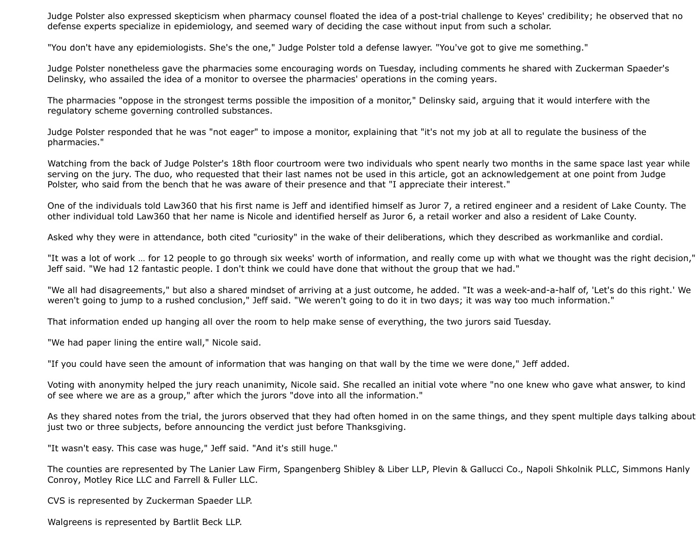Judge Polster also expressed skepticism when pharmacy counsel floated the idea of a post-trial challenge to Keyes' credibility; he observed that no defense experts specialize in epidemiology, and seemed wary of deciding the case without input from such a scholar.

"You don't have any epidemiologists. She's the one," Judge Polster told a defense lawyer. "You've got to give me something."

Judge Polster nonetheless gave the pharmacies some encouraging words on Tuesday, including comments he shared with Zuckerman Spaeder's Delinsky, who assailed the idea of a monitor to oversee the pharmacies' operations in the coming years.

The pharmacies "oppose in the strongest terms possible the imposition of a monitor," Delinsky said, arguing that it would interfere with the regulatory scheme governing controlled substances.

Judge Polster responded that he was "not eager" to impose a monitor, explaining that "it's not my job at all to regulate the business of the pharmacies."

Watching from the back of Judge Polster's 18th floor courtroom were two individuals who spent nearly two months in the same space last year while serving on the jury. The duo, who requested that their last names not be used in this article, got an acknowledgement at one point from Judge Polster, who said from the bench that he was aware of their presence and that "I appreciate their interest."

One of the individuals told Law360 that his first name is Jeff and identified himself as Juror 7, a retired engineer and a resident of Lake County. The other individual told Law360 that her name is Nicole and identified herself as Juror 6, a retail worker and also a resident of Lake County.

Asked why they were in attendance, both cited "curiosity" in the wake of their deliberations, which they described as workmanlike and cordial.

"It was a lot of work … for 12 people to go through six weeks' worth of information, and really come up with what we thought was the right decision," Jeff said. "We had 12 fantastic people. I don't think we could have done that without the group that we had."

"We all had disagreements," but also a shared mindset of arriving at a just outcome, he added. "It was a week-and-a-half of, 'Let's do this right.' We weren't going to jump to a rushed conclusion," Jeff said. "We weren't going to do it in two days; it was way too much information."

That information ended up hanging all over the room to help make sense of everything, the two jurors said Tuesday.

"We had paper lining the entire wall," Nicole said.

"If you could have seen the amount of information that was hanging on that wall by the time we were done," Jeff added.

Voting with anonymity helped the jury reach unanimity, Nicole said. She recalled an initial vote where "no one knew who gave what answer, to kind of see where we are as a group," after which the jurors "dove into all the information."

As they shared notes from the trial, the jurors observed that they had often homed in on the same things, and they spent multiple days talking about just two or three subjects, before announcing the verdict just before Thanksgiving.

"It wasn't easy. This case was huge," Jeff said. "And it's still huge."

The counties are represented by [The Lanier Law Firm](https://www.law360.com/firms/lanier-law-firm)[,](https://www.law360.com/firms/simmons-hanly) [Spangenberg Shibley & Liber LL](https://www.law360.com/firms/spangenberg-shibley)[P,](https://www.law360.com/firms/simmons-hanly) [Plevin & Gallucci Co](https://www.law360.com/firms/plevin-gallucci)., [Napoli Shkolnik PLLC](https://www.law360.com/firms/napoli-shkolnik), Simmons Hanly Conroy, Motley Rice LLC [and Farrell & Fuller LLC](https://www.law360.com/firms/motley-rice).

CVS is represented by Zuckerman Spaeder LLP.

Walgreens is represented by Bartlit Beck LLP.